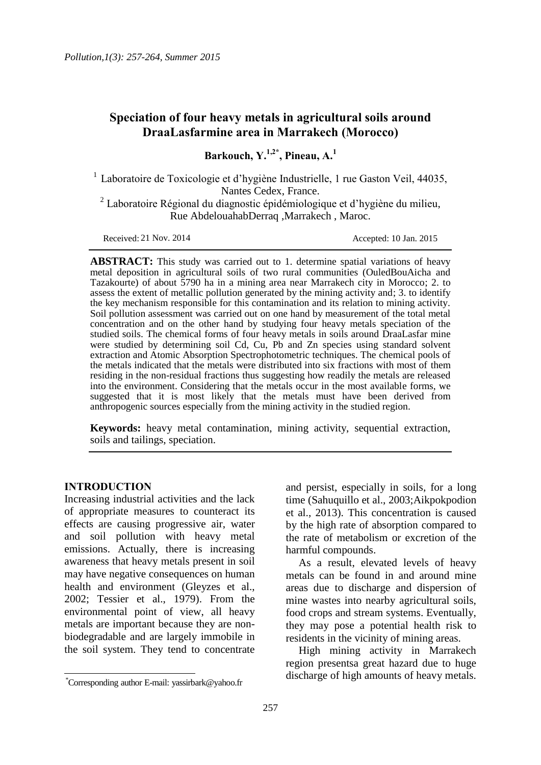# **Speciation of four heavy metals in agricultural soils around DraaLasfarmine area in Marrakech (Morocco)**

**Barkouch, Y.1,2\*, Pineau, A.<sup>1</sup>**

<sup>1</sup> Laboratoire de Toxicologie et d'hygiène Industrielle, 1 rue Gaston Veil, 44035, Nantes Cedex, France.

<sup>2</sup> Laboratoire Régional du diagnostic épidémiologique et d'hygiène du milieu, Rue AbdelouahabDerraq ,Marrakech , Maroc.

Received: 21 Nov. 2014

Accepted: 10 Jan. 2015

**ABSTRACT:** This study was carried out to 1. determine spatial variations of heavy metal deposition in agricultural soils of two rural communities (OuledBouAicha and Tazakourte) of about 5790 ha in a mining area near Marrakech city in Morocco; 2. to assess the extent of metallic pollution generated by the mining activity and; 3. to identify the key mechanism responsible for this contamination and its relation to mining activity. Soil pollution assessment was carried out on one hand by measurement of the total metal concentration and on the other hand by studying four heavy metals speciation of the studied soils. The chemical forms of four heavy metals in soils around DraaLasfar mine were studied by determining soil Cd, Cu, Pb and Zn species using standard solvent extraction and Atomic Absorption Spectrophotometric techniques. The chemical pools of the metals indicated that the metals were distributed into six fractions with most of them residing in the non-residual fractions thus suggesting how readily the metals are released into the environment. Considering that the metals occur in the most available forms, we suggested that it is most likely that the metals must have been derived from anthropogenic sources especially from the mining activity in the studied region.

**Keywords:** heavy metal contamination, mining activity, sequential extraction, soils and tailings, speciation.

### **INTRODUCTION**

 $\overline{a}$ 

Increasing industrial activities and the lack of appropriate measures to counteract its effects are causing progressive air, water and soil pollution with heavy metal emissions. Actually, there is increasing awareness that heavy metals present in soil may have negative consequences on human health and environment (Gleyzes et al., 2002; Tessier et al., 1979). From the environmental point of view, all heavy metals are important because they are nonbiodegradable and are largely immobile in the soil system. They tend to concentrate

and persist, especially in soils, for a long time (Sahuquillo et al., 2003;Aikpokpodion et al., 2013). This concentration is caused by the high rate of absorption compared to the rate of metabolism or excretion of the harmful compounds.

As a result, elevated levels of heavy metals can be found in and around mine areas due to discharge and dispersion of mine wastes into nearby agricultural soils, food crops and stream systems. Eventually, they may pose a potential health risk to residents in the vicinity of mining areas.

High mining activity in Marrakech region presentsa great hazard due to huge discharge of high amounts of heavy metals.

 <sup>\*</sup>Corresponding author E-mail: yassirbark@yahoo.fr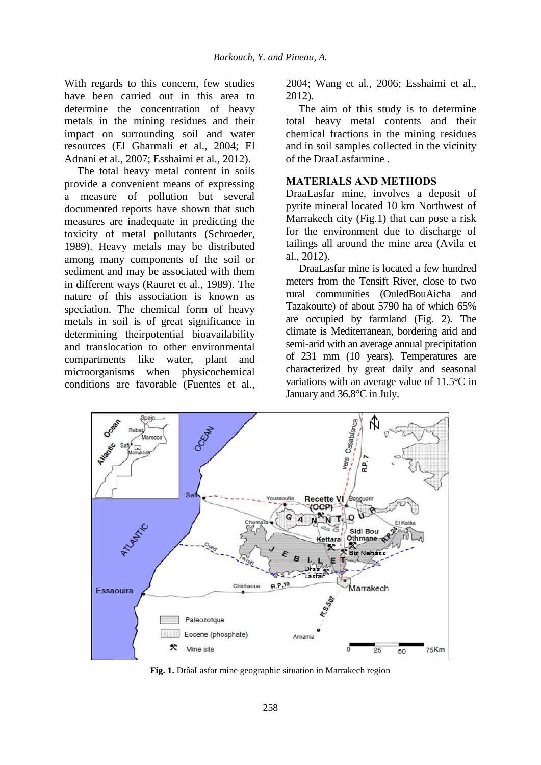With regards to this concern, few studies have been carried out in this area to determine the concentration of heavy metals in the mining residues and their impact on surrounding soil and water resources (El Gharmali et al., 2004; El Adnani et al., 2007; Esshaimi et al., 2012).

The total heavy metal content in soils provide a convenient means of expressing a measure of pollution but several documented reports have shown that such measures are inadequate in predicting the toxicity of metal pollutants (Schroeder, 1989). Heavy metals may be distributed among many components of the soil or sediment and may be associated with them in different ways (Rauret et al., 1989). The nature of this association is known as speciation. The chemical form of heavy metals in soil is of great significance in determining theirpotential bioavailability and translocation to other environmental compartments like water, plant and microorganisms when physicochemical conditions are favorable (Fuentes et al., 2004; Wang et al., 2006; Esshaimi et al., 2012).

The aim of this study is to determine total heavy metal contents and their chemical fractions in the mining residues and in soil samples collected in the vicinity of the DraaLasfarmine .

### **MATERIALS AND METHODS**

DraaLasfar mine, involves a deposit of pyrite mineral located 10 km Northwest of Marrakech city (Fig.1) that can pose a risk for the environment due to discharge of tailings all around the mine area (Avila et al., 2012).

DraaLasfar mine is located a few hundred meters from the Tensift River, close to two rural communities (OuledBouAicha and Tazakourte) of about 5790 ha of which 65% are occupied by farmland (Fig. 2). The climate is Mediterranean, bordering arid and semi-arid with an average annual precipitation of 231 mm (10 years). Temperatures are characterized by great daily and seasonal variations with an average value of 11.5°C in January and 36.8°C in July.



**Fig. 1.** DrâaLasfar mine geographic situation in Marrakech region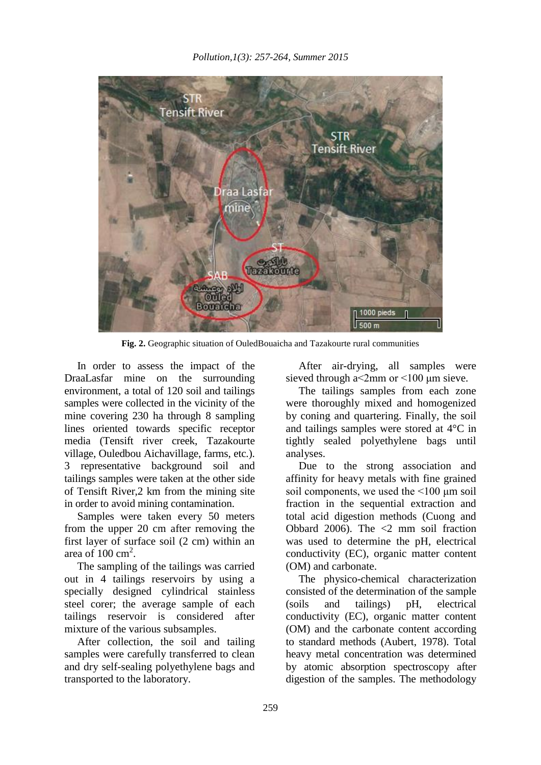

**Fig. 2.** Geographic situation of OuledBouaicha and Tazakourte rural communities

In order to assess the impact of the DraaLasfar mine on the surrounding environment, a total of 120 soil and tailings samples were collected in the vicinity of the mine covering 230 ha through 8 sampling lines oriented towards specific receptor media (Tensift river creek, Tazakourte village, Ouledbou Aichavillage, farms, etc.). 3 representative background soil and tailings samples were taken at the other side of Tensift River,2 km from the mining site in order to avoid mining contamination.

Samples were taken every 50 meters from the upper 20 cm after removing the first layer of surface soil (2 cm) within an area of  $100 \text{ cm}^2$ .

The sampling of the tailings was carried out in 4 tailings reservoirs by using a specially designed cylindrical stainless steel corer; the average sample of each tailings reservoir is considered after mixture of the various subsamples.

After collection, the soil and tailing samples were carefully transferred to clean and dry self-sealing polyethylene bags and transported to the laboratory.

After air-drying, all samples were sieved through a<2mm or <100 μm sieve.

The tailings samples from each zone were thoroughly mixed and homogenized by coning and quartering. Finally, the soil and tailings samples were stored at 4°C in tightly sealed polyethylene bags until analyses.

Due to the strong association and affinity for heavy metals with fine grained soil components, we used the <100 μm soil fraction in the sequential extraction and total acid digestion methods (Cuong and Obbard 2006). The <2 mm soil fraction was used to determine the pH, electrical conductivity (EC), organic matter content (OM) and carbonate.

The physico-chemical characterization consisted of the determination of the sample (soils and tailings) pH, electrical conductivity (EC), organic matter content (OM) and the carbonate content according to standard methods (Aubert, 1978). Total heavy metal concentration was determined by atomic absorption spectroscopy after digestion of the samples. The methodology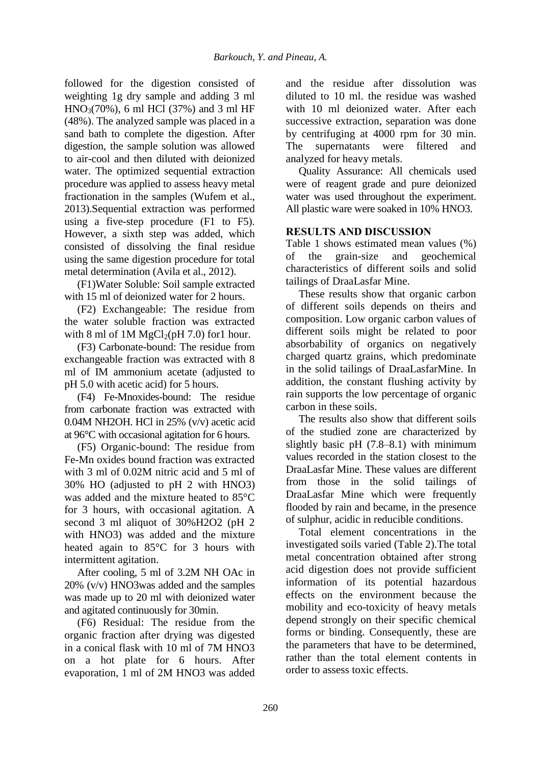followed for the digestion consisted of weighting 1g dry sample and adding 3 ml  $HNO<sub>3</sub>(70%)$ , 6 ml HCl (37%) and 3 ml HF (48%). The analyzed sample was placed in a sand bath to complete the digestion. After digestion, the sample solution was allowed to air-cool and then diluted with deionized water. The optimized sequential extraction procedure was applied to assess heavy metal fractionation in the samples (Wufem et al., 2013).Sequential extraction was performed using a five-step procedure (F1 to F5). However, a sixth step was added, which consisted of dissolving the final residue using the same digestion procedure for total metal determination (Avila et al., 2012).

(F1)Water Soluble: Soil sample extracted with 15 ml of deionized water for 2 hours.

(F2) Exchangeable: The residue from the water soluble fraction was extracted with 8 ml of 1M  $MgCl<sub>2</sub>(pH 7.0)$  for 1 hour.

(F3) Carbonate-bound: The residue from exchangeable fraction was extracted with 8 ml of IM ammonium acetate (adjusted to pH 5.0 with acetic acid) for 5 hours.

(F4) Fe-Mnoxides-bound: The residue from carbonate fraction was extracted with 0.04M NH2OH. HCl in 25% (v/v) acetic acid at 96°C with occasional agitation for 6 hours.

(F5) Organic-bound: The residue from Fe-Mn oxides bound fraction was extracted with 3 ml of 0.02M nitric acid and 5 ml of 30% HO (adjusted to pH 2 with HNO3) was added and the mixture heated to 85°C for 3 hours, with occasional agitation. A second 3 ml aliquot of 30%H2O2 (pH 2 with HNO3) was added and the mixture heated again to 85°C for 3 hours with intermittent agitation.

After cooling, 5 ml of 3.2M NH OAc in 20% (v/v) HNO3was added and the samples was made up to 20 ml with deionized water and agitated continuously for 30min.

(F6) Residual: The residue from the organic fraction after drying was digested in a conical flask with 10 ml of 7M HNO3 on a hot plate for 6 hours. After evaporation, 1 ml of 2M HNO3 was added and the residue after dissolution was diluted to 10 ml. the residue was washed with 10 ml deionized water. After each successive extraction, separation was done by centrifuging at 4000 rpm for 30 min. The supernatants were filtered and analyzed for heavy metals.

Quality Assurance: All chemicals used were of reagent grade and pure deionized water was used throughout the experiment. All plastic ware were soaked in 10% HNO3.

## **RESULTS AND DISCUSSION**

Table 1 shows estimated mean values (%) of the grain-size and geochemical characteristics of different soils and solid tailings of DraaLasfar Mine.

These results show that organic carbon of different soils depends on theirs and composition. Low organic carbon values of different soils might be related to poor absorbability of organics on negatively charged quartz grains, which predominate in the solid tailings of DraaLasfarMine. In addition, the constant flushing activity by rain supports the low percentage of organic carbon in these soils.

The results also show that different soils of the studied zone are characterized by slightly basic pH (7.8–8.1) with minimum values recorded in the station closest to the DraaLasfar Mine. These values are different from those in the solid tailings of DraaLasfar Mine which were frequently flooded by rain and became, in the presence of sulphur, acidic in reducible conditions.

Total element concentrations in the investigated soils varied (Table 2).The total metal concentration obtained after strong acid digestion does not provide sufficient information of its potential hazardous effects on the environment because the mobility and eco-toxicity of heavy metals depend strongly on their specific chemical forms or binding. Consequently, these are the parameters that have to be determined, rather than the total element contents in order to assess toxic effects.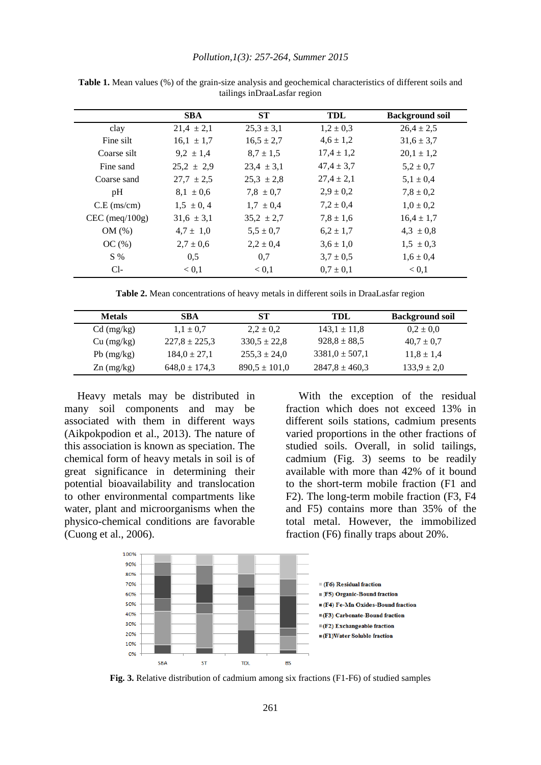#### *Pollution,1(3): 257-264, Summer 2015*

|                  | <b>SBA</b>     | <b>ST</b>      | TDL            | <b>Background soil</b> |
|------------------|----------------|----------------|----------------|------------------------|
|                  |                |                |                |                        |
| clay             | $21,4 \pm 2,1$ | $25,3 \pm 3,1$ | $1,2 \pm 0,3$  | $26.4 \pm 2.5$         |
| Fine silt        | $16,1 \pm 1,7$ | $16.5 \pm 2.7$ | $4,6 \pm 1,2$  | $31.6 \pm 3.7$         |
| Coarse silt      | $9.2 \pm 1.4$  | $8.7 \pm 1.5$  | $17.4 \pm 1.2$ | $20,1 \pm 1,2$         |
| Fine sand        | $25.2 \pm 2.9$ | $23.4 \pm 3.1$ | $47.4 \pm 3.7$ | $5,2 \pm 0.7$          |
| Coarse sand      | $27.7 \pm 2.5$ | $25.3 \pm 2.8$ | $27,4 \pm 2,1$ | $5,1 \pm 0.4$          |
| pH               | $8.1 \pm 0.6$  | $7.8 \pm 0.7$  | $2.9 \pm 0.2$  | $7.8 \pm 0.2$          |
| $C.E$ (ms/cm)    | $1.5 \pm 0.4$  | $1.7 \pm 0.4$  | $7.2 \pm 0.4$  | $1,0 \pm 0,2$          |
| $CEC$ (meq/100g) | $31.6 \pm 3.1$ | $35,2 \pm 2,7$ | $7.8 \pm 1.6$  | $16.4 \pm 1.7$         |
| OM(%)            | $4,7 \pm 1,0$  | $5.5 \pm 0.7$  | $6.2 \pm 1.7$  | $4,3 \pm 0,8$          |
| OC(%)            | $2.7 \pm 0.6$  | $2.2 \pm 0.4$  | $3.6 \pm 1.0$  | $1,5 \pm 0,3$          |
| $S\%$            | 0,5            | 0,7            | $3.7 \pm 0.5$  | $1,6 \pm 0,4$          |
| $Cl-$            | < 0.1          | < 0.1          | $0.7 \pm 0.1$  | < 0.1                  |

**Table 1.** Mean values (%) of the grain-size analysis and geochemical characteristics of different soils and tailings inDraaLasfar region

**Table 2.** Mean concentrations of heavy metals in different soils in DraaLasfar region

| <b>Metals</b> | <b>SBA</b>        | <b>ST</b>         | TDL.               | <b>Background soil</b> |
|---------------|-------------------|-------------------|--------------------|------------------------|
| $Cd$ (mg/kg)  | $1.1 \pm 0.7$     | $2.2 \pm 0.2$     | $143.1 \pm 11.8$   | $0.2 \pm 0.0$          |
| Cu (mg/kg)    | $227.8 \pm 225.3$ | $330.5 \pm 22.8$  | $928.8 \pm 88.5$   | $40.7 \pm 0.7$         |
| $Pb$ (mg/kg)  | $184.0 \pm 27.1$  | $255.3 \pm 24.0$  | $3381.0 \pm 507.1$ | $11.8 \pm 1.4$         |
| $Zn$ (mg/kg)  | $648.0 \pm 174.3$ | $890.5 \pm 101.0$ | $2847.8 \pm 460.3$ | $133.9 \pm 2.0$        |

Heavy metals may be distributed in many soil components and may be associated with them in different ways (Aikpokpodion et al., 2013). The nature of this association is known as speciation. The chemical form of heavy metals in soil is of great significance in determining their potential bioavailability and translocation to other environmental compartments like water, plant and microorganisms when the physico-chemical conditions are favorable (Cuong et al., 2006).

With the exception of the residual fraction which does not exceed 13% in different soils stations, cadmium presents varied proportions in the other fractions of studied soils. Overall, in solid tailings, cadmium (Fig. 3) seems to be readily available with more than 42% of it bound to the short-term mobile fraction (F1 and F2). The long-term mobile fraction (F3, F4 and F5) contains more than 35% of the total metal. However, the immobilized fraction (F6) finally traps about 20%.



**Fig. 3.** Relative distribution of cadmium among six fractions (F1-F6) of studied samples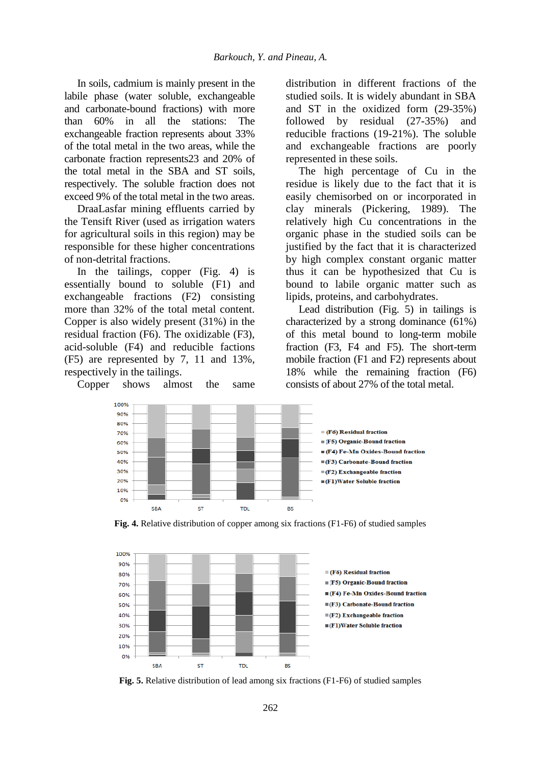In soils, cadmium is mainly present in the labile phase (water soluble, exchangeable and carbonate-bound fractions) with more than 60% in all the stations: The exchangeable fraction represents about 33% of the total metal in the two areas, while the carbonate fraction represents23 and 20% of the total metal in the SBA and ST soils, respectively. The soluble fraction does not exceed 9% of the total metal in the two areas.

DraaLasfar mining effluents carried by the Tensift River (used as irrigation waters for agricultural soils in this region) may be responsible for these higher concentrations of non-detrital fractions.

In the tailings, copper (Fig. 4) is essentially bound to soluble (F1) and exchangeable fractions (F2) consisting more than 32% of the total metal content. Copper is also widely present (31%) in the residual fraction (F6). The oxidizable (F3), acid-soluble (F4) and reducible factions (F5) are represented by 7, 11 and 13%, respectively in the tailings.

Copper shows almost the same

distribution in different fractions of the studied soils. It is widely abundant in SBA and ST in the oxidized form (29-35%) followed by residual (27-35%) and reducible fractions (19-21%). The soluble and exchangeable fractions are poorly represented in these soils.

The high percentage of Cu in the residue is likely due to the fact that it is easily chemisorbed on or incorporated in clay minerals (Pickering, 1989). The relatively high Cu concentrations in the organic phase in the studied soils can be justified by the fact that it is characterized by high complex constant organic matter thus it can be hypothesized that Cu is bound to labile organic matter such as lipids, proteins, and carbohydrates.

Lead distribution (Fig. 5) in tailings is characterized by a strong dominance (61%) of this metal bound to long-term mobile fraction (F3, F4 and F5). The short-term mobile fraction (F1 and F2) represents about 18% while the remaining fraction (F6) consists of about 27% of the total metal.



**Fig. 4.** Relative distribution of copper among six fractions (F1-F6) of studied samples



**Fig. 5.** Relative distribution of lead among six fractions (F1-F6) of studied samples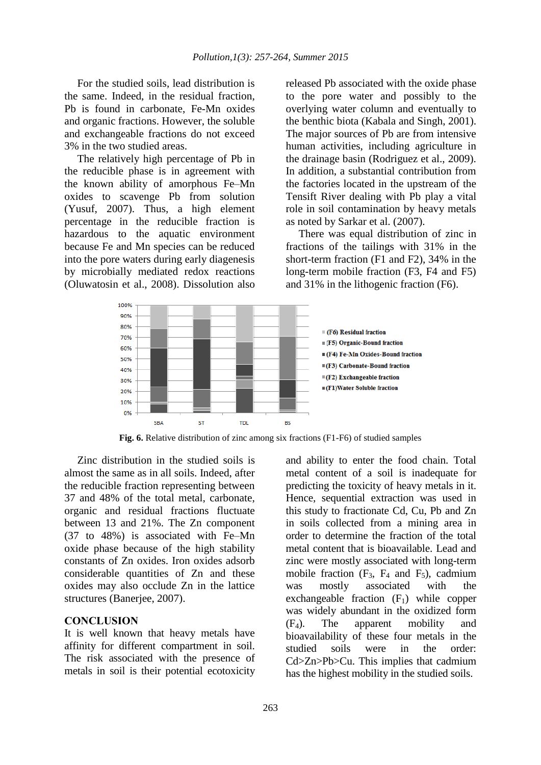For the studied soils, lead distribution is the same. Indeed, in the residual fraction, Pb is found in carbonate, Fe-Mn oxides and organic fractions. However, the soluble and exchangeable fractions do not exceed 3% in the two studied areas.

The relatively high percentage of Pb in the reducible phase is in agreement with the known ability of amorphous Fe–Mn oxides to scavenge Pb from solution (Yusuf, 2007). Thus, a high element percentage in the reducible fraction is hazardous to the aquatic environment because Fe and Mn species can be reduced into the pore waters during early diagenesis by microbially mediated redox reactions (Oluwatosin et al., 2008). Dissolution also released Pb associated with the oxide phase to the pore water and possibly to the overlying water column and eventually to the benthic biota (Kabala and Singh, 2001). The major sources of Pb are from intensive human activities, including agriculture in the drainage basin (Rodriguez et al., 2009). In addition, a substantial contribution from the factories located in the upstream of the Tensift River dealing with Pb play a vital role in soil contamination by heavy metals as noted by Sarkar et al. (2007).

There was equal distribution of zinc in fractions of the tailings with 31% in the short-term fraction (F1 and F2), 34% in the long-term mobile fraction (F3, F4 and F5) and 31% in the lithogenic fraction (F6).



**Fig. 6.** Relative distribution of zinc among six fractions (F1-F6) of studied samples

Zinc distribution in the studied soils is almost the same as in all soils. Indeed, after the reducible fraction representing between 37 and 48% of the total metal, carbonate, organic and residual fractions fluctuate between 13 and 21%. The Zn component (37 to 48%) is associated with Fe–Mn oxide phase because of the high stability constants of Zn oxides. Iron oxides adsorb considerable quantities of Zn and these oxides may also occlude Zn in the lattice structures (Banerjee, 2007).

## **CONCLUSION**

It is well known that heavy metals have affinity for different compartment in soil. The risk associated with the presence of metals in soil is their potential ecotoxicity and ability to enter the food chain. Total metal content of a soil is inadequate for predicting the toxicity of heavy metals in it. Hence, sequential extraction was used in this study to fractionate Cd, Cu, Pb and Zn in soils collected from a mining area in order to determine the fraction of the total metal content that is bioavailable. Lead and zinc were mostly associated with long-term mobile fraction  $(F_3, F_4$  and  $F_5)$ , cadmium was mostly associated with the exchangeable fraction  $(F_1)$  while copper was widely abundant in the oxidized form (F4). The apparent mobility and bioavailability of these four metals in the studied soils were in the order: Cd>Zn>Pb>Cu. This implies that cadmium has the highest mobility in the studied soils.